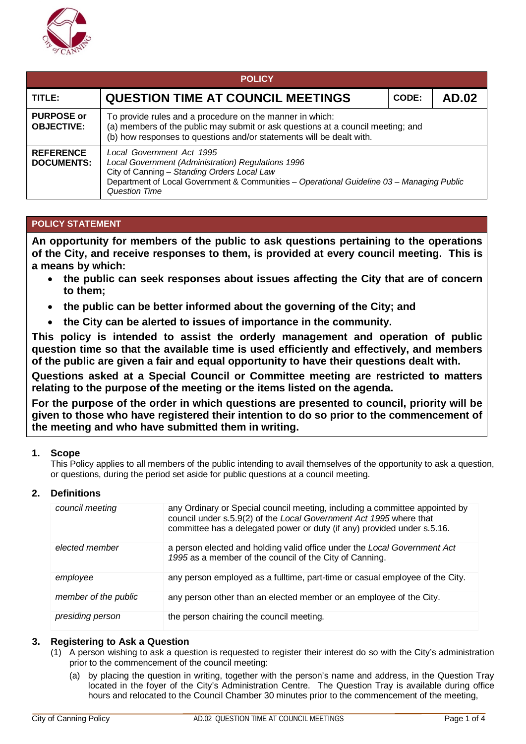

| <b>POLICY</b>                          |                                                                                                                                                                                                                                                     |  |  |  |
|----------------------------------------|-----------------------------------------------------------------------------------------------------------------------------------------------------------------------------------------------------------------------------------------------------|--|--|--|
| TITLE:                                 | <b>QUESTION TIME AT COUNCIL MEETINGS</b><br><b>AD.02</b><br>CODE:                                                                                                                                                                                   |  |  |  |
| <b>PURPOSE or</b><br><b>OBJECTIVE:</b> | To provide rules and a procedure on the manner in which:<br>(a) members of the public may submit or ask questions at a council meeting; and<br>(b) how responses to questions and/or statements will be dealt with.                                 |  |  |  |
| <b>REFERENCE</b><br><b>DOCUMENTS:</b>  | Local Government Act 1995<br>Local Government (Administration) Regulations 1996<br>City of Canning - Standing Orders Local Law<br>Department of Local Government & Communities - Operational Guideline 03 - Managing Public<br><b>Question Time</b> |  |  |  |

## **POLICY STATEMENT**

**An opportunity for members of the public to ask questions pertaining to the operations of the City, and receive responses to them, is provided at every council meeting. This is a means by which:**

- **the public can seek responses about issues affecting the City that are of concern to them;**
- **the public can be better informed about the governing of the City; and**
- **the City can be alerted to issues of importance in the community.**

**This policy is intended to assist the orderly management and operation of public question time so that the available time is used efficiently and effectively, and members of the public are given a fair and equal opportunity to have their questions dealt with.**

**Questions asked at a Special Council or Committee meeting are restricted to matters relating to the purpose of the meeting or the items listed on the agenda.**

**For the purpose of the order in which questions are presented to council, priority will be given to those who have registered their intention to do so prior to the commencement of the meeting and who have submitted them in writing.**

### **1. Scope**

This Policy applies to all members of the public intending to avail themselves of the opportunity to ask a question, or questions, during the period set aside for public questions at a council meeting.

### **2. Definitions**

| council meeting      | any Ordinary or Special council meeting, including a committee appointed by<br>council under s.5.9(2) of the Local Government Act 1995 where that<br>committee has a delegated power or duty (if any) provided under s.5.16. |
|----------------------|------------------------------------------------------------------------------------------------------------------------------------------------------------------------------------------------------------------------------|
| elected member       | a person elected and holding valid office under the Local Government Act<br>1995 as a member of the council of the City of Canning.                                                                                          |
| employee             | any person employed as a fulltime, part-time or casual employee of the City.                                                                                                                                                 |
| member of the public | any person other than an elected member or an employee of the City.                                                                                                                                                          |
| presiding person     | the person chairing the council meeting.                                                                                                                                                                                     |

### **3. Registering to Ask a Question**

- (1) A person wishing to ask a question is requested to register their interest do so with the City's administration prior to the commencement of the council meeting:
	- (a) by placing the question in writing, together with the person's name and address, in the Question Tray located in the foyer of the City's Administration Centre. The Question Tray is available during office hours and relocated to the Council Chamber 30 minutes prior to the commencement of the meeting,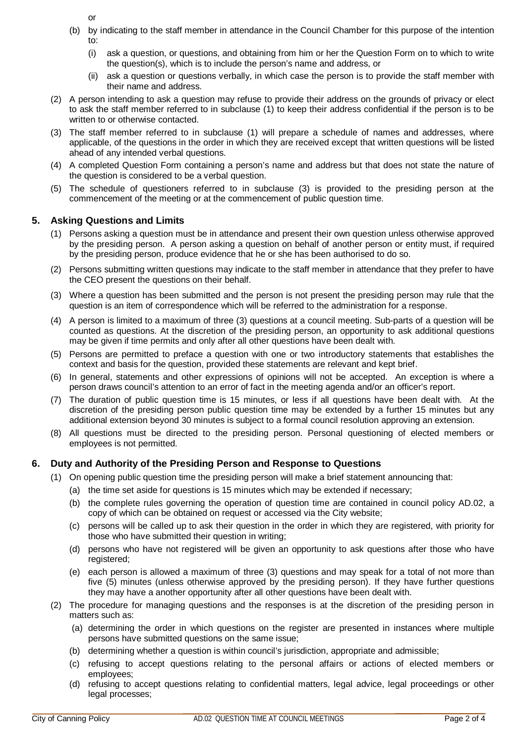or

- (b) by indicating to the staff member in attendance in the Council Chamber for this purpose of the intention to:
	- (i) ask a question, or questions, and obtaining from him or her the Question Form on to which to write the question(s), which is to include the person's name and address, or
	- (ii) ask a question or questions verbally, in which case the person is to provide the staff member with their name and address.
- (2) A person intending to ask a question may refuse to provide their address on the grounds of privacy or elect to ask the staff member referred to in subclause (1) to keep their address confidential if the person is to be written to or otherwise contacted.
- (3) The staff member referred to in subclause (1) will prepare a schedule of names and addresses, where applicable, of the questions in the order in which they are received except that written questions will be listed ahead of any intended verbal questions.
- (4) A completed Question Form containing a person's name and address but that does not state the nature of the question is considered to be a verbal question.
- (5) The schedule of questioners referred to in subclause (3) is provided to the presiding person at the commencement of the meeting or at the commencement of public question time.

## **5. Asking Questions and Limits**

- (1) Persons asking a question must be in attendance and present their own question unless otherwise approved by the presiding person. A person asking a question on behalf of another person or entity must, if required by the presiding person, produce evidence that he or she has been authorised to do so.
- (2) Persons submitting written questions may indicate to the staff member in attendance that they prefer to have the CEO present the questions on their behalf.
- (3) Where a question has been submitted and the person is not present the presiding person may rule that the question is an item of correspondence which will be referred to the administration for a response.
- (4) A person is limited to a maximum of three (3) questions at a council meeting. Sub-parts of a question will be counted as questions. At the discretion of the presiding person, an opportunity to ask additional questions may be given if time permits and only after all other questions have been dealt with.
- (5) Persons are permitted to preface a question with one or two introductory statements that establishes the context and basis for the question, provided these statements are relevant and kept brief.
- (6) In general, statements and other expressions of opinions will not be accepted. An exception is where a person draws council's attention to an error of fact in the meeting agenda and/or an officer's report.
- (7) The duration of public question time is 15 minutes, or less if all questions have been dealt with. At the discretion of the presiding person public question time may be extended by a further 15 minutes but any additional extension beyond 30 minutes is subject to a formal council resolution approving an extension.
- (8) All questions must be directed to the presiding person. Personal questioning of elected members or employees is not permitted.

## **6. Duty and Authority of the Presiding Person and Response to Questions**

- (1) On opening public question time the presiding person will make a brief statement announcing that:
	- (a) the time set aside for questions is 15 minutes which may be extended if necessary;
	- (b) the complete rules governing the operation of question time are contained in council policy AD.02, a copy of which can be obtained on request or accessed via the City website;
	- (c) persons will be called up to ask their question in the order in which they are registered, with priority for those who have submitted their question in writing;
	- (d) persons who have not registered will be given an opportunity to ask questions after those who have registered;
	- (e) each person is allowed a maximum of three (3) questions and may speak for a total of not more than five (5) minutes (unless otherwise approved by the presiding person). If they have further questions they may have a another opportunity after all other questions have been dealt with.
- (2) The procedure for managing questions and the responses is at the discretion of the presiding person in matters such as:
	- (a) determining the order in which questions on the register are presented in instances where multiple persons have submitted questions on the same issue;
	- (b) determining whether a question is within council's jurisdiction, appropriate and admissible;
	- (c) refusing to accept questions relating to the personal affairs or actions of elected members or employees;
	- (d) refusing to accept questions relating to confidential matters, legal advice, legal proceedings or other legal processes;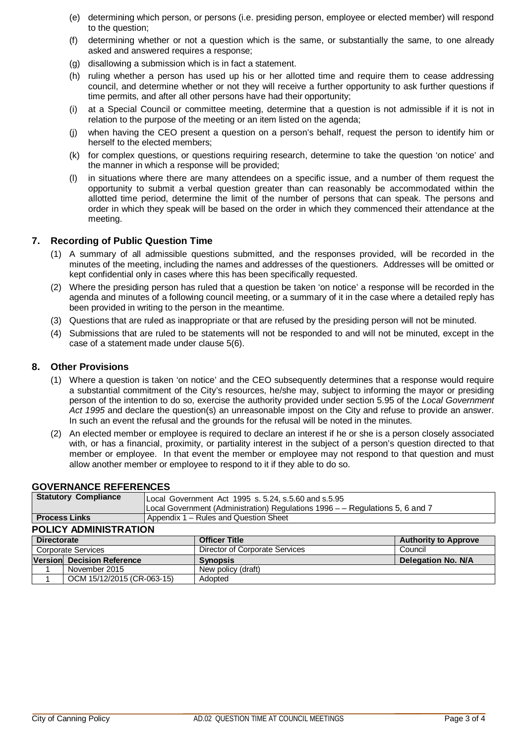- (e) determining which person, or persons (i.e. presiding person, employee or elected member) will respond to the question;
- (f) determining whether or not a question which is the same, or substantially the same, to one already asked and answered requires a response;
- (g) disallowing a submission which is in fact a statement.
- (h) ruling whether a person has used up his or her allotted time and require them to cease addressing council, and determine whether or not they will receive a further opportunity to ask further questions if time permits, and after all other persons have had their opportunity;
- (i) at a Special Council or committee meeting, determine that a question is not admissible if it is not in relation to the purpose of the meeting or an item listed on the agenda;
- (j) when having the CEO present a question on a person's behalf, request the person to identify him or herself to the elected members;
- (k) for complex questions, or questions requiring research, determine to take the question 'on notice' and the manner in which a response will be provided;
- (l) in situations where there are many attendees on a specific issue, and a number of them request the opportunity to submit a verbal question greater than can reasonably be accommodated within the allotted time period, determine the limit of the number of persons that can speak. The persons and order in which they speak will be based on the order in which they commenced their attendance at the meeting.

## **7. Recording of Public Question Time**

- (1) A summary of all admissible questions submitted, and the responses provided, will be recorded in the minutes of the meeting, including the names and addresses of the questioners. Addresses will be omitted or kept confidential only in cases where this has been specifically requested.
- (2) Where the presiding person has ruled that a question be taken 'on notice' a response will be recorded in the agenda and minutes of a following council meeting, or a summary of it in the case where a detailed reply has been provided in writing to the person in the meantime.
- (3) Questions that are ruled as inappropriate or that are refused by the presiding person will not be minuted.
- (4) Submissions that are ruled to be statements will not be responded to and will not be minuted, except in the case of a statement made under clause 5(6).

#### **8. Other Provisions**

- (1) Where a question is taken 'on notice' and the CEO subsequently determines that a response would require a substantial commitment of the City's resources, he/she may, subject to informing the mayor or presiding person of the intention to do so, exercise the authority provided under section 5.95 of the *Local Government Act 1995* and declare the question(s) an unreasonable impost on the City and refuse to provide an answer. In such an event the refusal and the grounds for the refusal will be noted in the minutes.
- (2) An elected member or employee is required to declare an interest if he or she is a person closely associated with, or has a financial, proximity, or partiality interest in the subject of a person's question directed to that member or employee. In that event the member or employee may not respond to that question and must allow another member or employee to respond to it if they able to do so.

|                              | <b>Statutory Compliance</b> | Local Government Act 1995 s. 5.24, s.5.60 and s.5.95                          |                                |                             |
|------------------------------|-----------------------------|-------------------------------------------------------------------------------|--------------------------------|-----------------------------|
|                              |                             | Local Government (Administration) Regulations 1996 - - Regulations 5, 6 and 7 |                                |                             |
| <b>Process Links</b>         |                             | Appendix 1 - Rules and Question Sheet                                         |                                |                             |
| <b>POLICY ADMINISTRATION</b> |                             |                                                                               |                                |                             |
| <b>Directorate</b>           |                             |                                                                               | <b>Officer Title</b>           | <b>Authority to Approve</b> |
|                              | <b>Corporate Services</b>   |                                                                               | Director of Corporate Services | Council                     |
|                              | Version Decision Reference  |                                                                               | <b>Synopsis</b>                | <b>Delegation No. N/A</b>   |
|                              | November 2015               |                                                                               | New policy (draft)             |                             |
|                              | OCM 15/12/2015 (CR-063-15)  |                                                                               | Adopted                        |                             |

#### **GOVERNANCE REFERENCES**